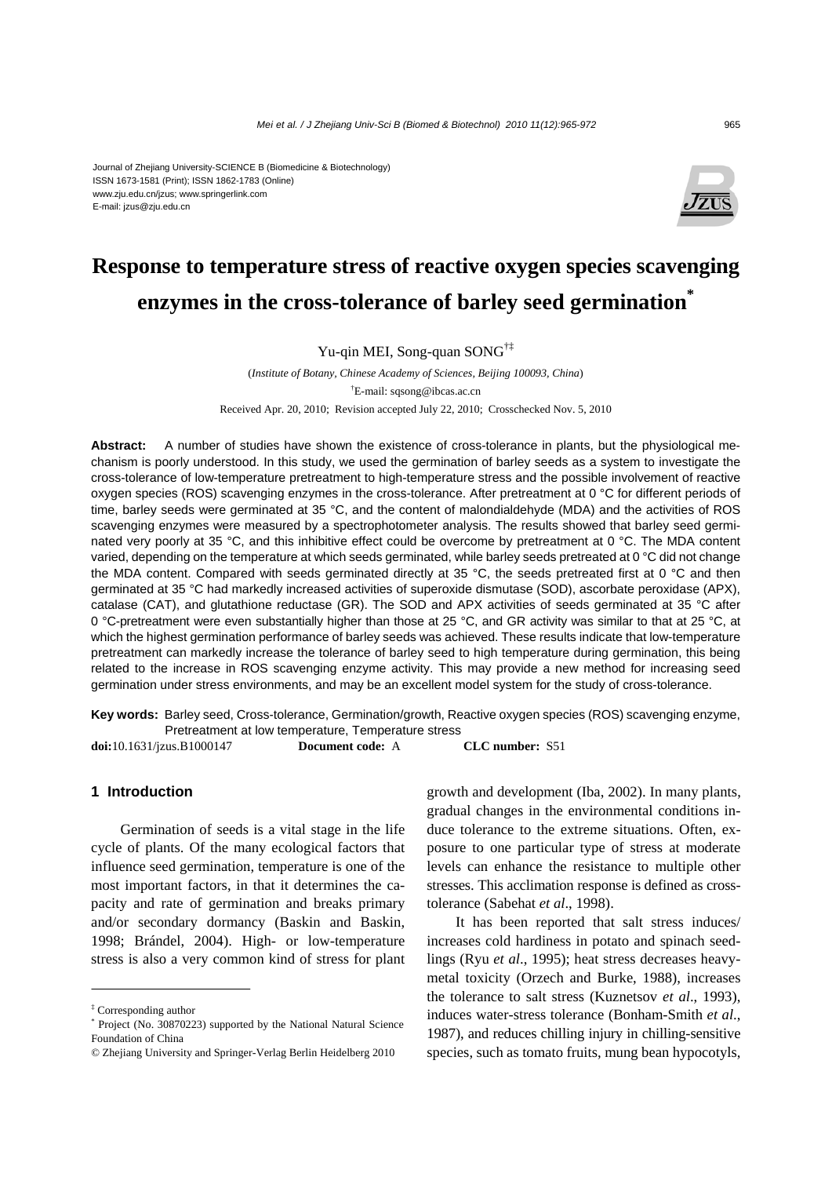#### Journal of Zhejiang University-SCIENCE B (Biomedicine & Biotechnology) ISSN 1673-1581 (Print); ISSN 1862-1783 (Online) www.zju.edu.cn/jzus; www.springerlink.com E-mail: jzus@zju.edu.cn



# **Response to temperature stress of reactive oxygen species scavenging enzymes in the cross-tolerance of barley seed germination\***

Yu-qin MEI, Song-quan SONG<sup>†‡</sup>

(*Institute of Botany, Chinese Academy of Sciences, Beijing 100093, China*) † E-mail: sqsong@ibcas.ac.cn Received Apr. 20, 2010; Revision accepted July 22, 2010; Crosschecked Nov. 5, 2010

**Abstract:** A number of studies have shown the existence of cross-tolerance in plants, but the physiological mechanism is poorly understood. In this study, we used the germination of barley seeds as a system to investigate the cross-tolerance of low-temperature pretreatment to high-temperature stress and the possible involvement of reactive oxygen species (ROS) scavenging enzymes in the cross-tolerance. After pretreatment at 0 °C for different periods of time, barley seeds were germinated at 35 °C, and the content of malondialdehyde (MDA) and the activities of ROS scavenging enzymes were measured by a spectrophotometer analysis. The results showed that barley seed germinated very poorly at 35 °C, and this inhibitive effect could be overcome by pretreatment at 0 °C. The MDA content varied, depending on the temperature at which seeds germinated, while barley seeds pretreated at 0 °C did not change the MDA content. Compared with seeds germinated directly at 35 °C, the seeds pretreated first at 0 °C and then germinated at 35 °C had markedly increased activities of superoxide dismutase (SOD), ascorbate peroxidase (APX), catalase (CAT), and glutathione reductase (GR). The SOD and APX activities of seeds germinated at 35 °C after 0 °C-pretreatment were even substantially higher than those at 25 °C, and GR activity was similar to that at 25 °C, at which the highest germination performance of barley seeds was achieved. These results indicate that low-temperature pretreatment can markedly increase the tolerance of barley seed to high temperature during germination, this being related to the increase in ROS scavenging enzyme activity. This may provide a new method for increasing seed germination under stress environments, and may be an excellent model system for the study of cross-tolerance.

**Key words:** Barley seed, Cross-tolerance, Germination/growth, Reactive oxygen species (ROS) scavenging enzyme, Pretreatment at low temperature, Temperature stress

**doi:**10.1631/jzus.B1000147 **Document code:** A **CLC number:** S51

#### **1 Introduction**

Germination of seeds is a vital stage in the life cycle of plants. Of the many ecological factors that influence seed germination, temperature is one of the most important factors, in that it determines the capacity and rate of germination and breaks primary and/or secondary dormancy (Baskin and Baskin, 1998; Brándel, 2004). High- or low-temperature stress is also a very common kind of stress for plant growth and development (Iba, 2002). In many plants, gradual changes in the environmental conditions induce tolerance to the extreme situations. Often, exposure to one particular type of stress at moderate levels can enhance the resistance to multiple other stresses. This acclimation response is defined as crosstolerance (Sabehat *et al*., 1998).

It has been reported that salt stress induces/ increases cold hardiness in potato and spinach seedlings (Ryu *et al*., 1995); heat stress decreases heavymetal toxicity (Orzech and Burke, 1988), increases the tolerance to salt stress (Kuznetsov *et al*., 1993), induces water-stress tolerance (Bonham-Smith *et al*., 1987), and reduces chilling injury in chilling-sensitive species, such as tomato fruits, mung bean hypocotyls,

<sup>‡</sup> Corresponding author

<sup>\*</sup> Project (No. 30870223) supported by the National Natural Science Foundation of China

<sup>©</sup> Zhejiang University and Springer-Verlag Berlin Heidelberg 2010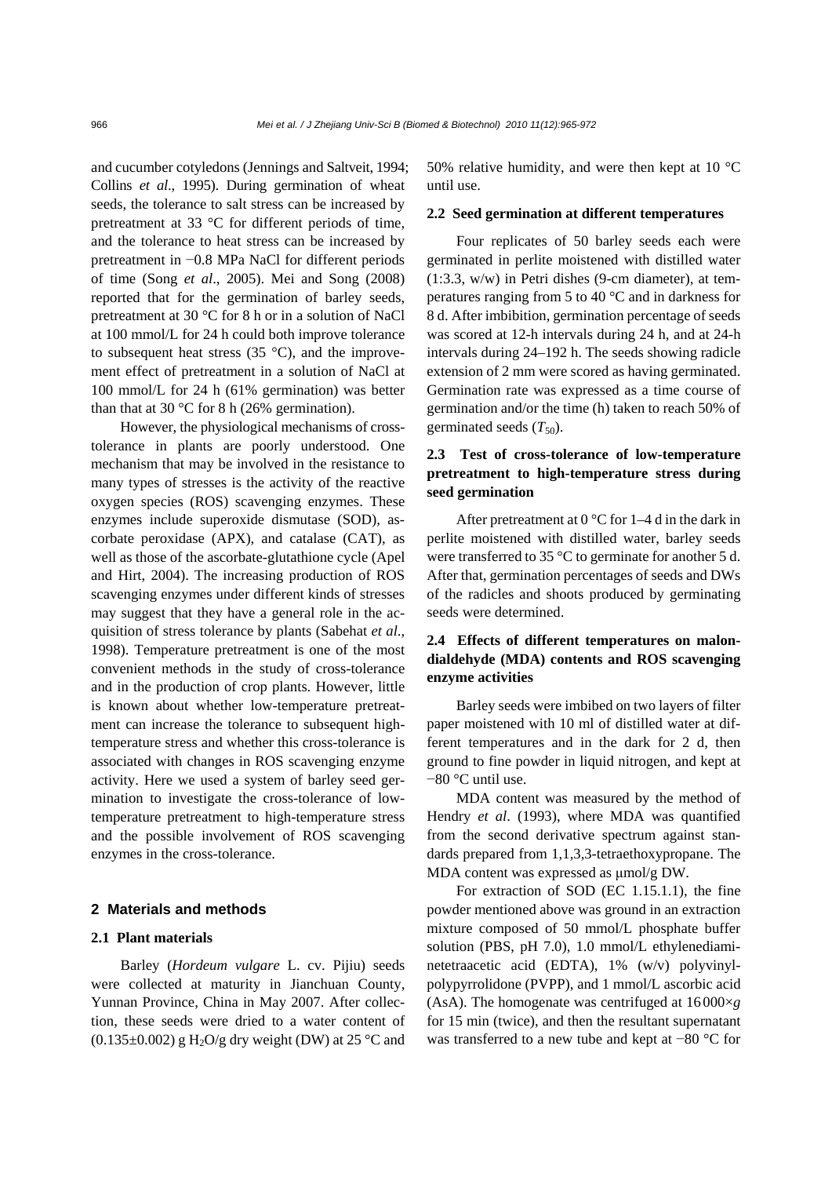and cucumber cotyledons (Jennings and Saltveit, 1994; Collins *et al*., 1995). During germination of wheat seeds, the tolerance to salt stress can be increased by pretreatment at 33 °C for different periods of time, and the tolerance to heat stress can be increased by pretreatment in −0.8 MPa NaCl for different periods of time (Song *et al*., 2005). Mei and Song (2008) reported that for the germination of barley seeds, pretreatment at 30 °C for 8 h or in a solution of NaCl at 100 mmol/L for 24 h could both improve tolerance to subsequent heat stress  $(35 \text{ °C})$ , and the improvement effect of pretreatment in a solution of NaCl at 100 mmol/L for 24 h (61% germination) was better than that at 30 °C for 8 h (26% germination).

However, the physiological mechanisms of crosstolerance in plants are poorly understood. One mechanism that may be involved in the resistance to many types of stresses is the activity of the reactive oxygen species (ROS) scavenging enzymes. These enzymes include superoxide dismutase (SOD), ascorbate peroxidase (APX), and catalase (CAT), as well as those of the ascorbate-glutathione cycle (Apel and Hirt, 2004). The increasing production of ROS scavenging enzymes under different kinds of stresses may suggest that they have a general role in the acquisition of stress tolerance by plants (Sabehat *et al*., 1998). Temperature pretreatment is one of the most convenient methods in the study of cross-tolerance and in the production of crop plants. However, little is known about whether low-temperature pretreatment can increase the tolerance to subsequent hightemperature stress and whether this cross-tolerance is associated with changes in ROS scavenging enzyme activity. Here we used a system of barley seed germination to investigate the cross-tolerance of lowtemperature pretreatment to high-temperature stress and the possible involvement of ROS scavenging enzymes in the cross-tolerance.

#### **2 Materials and methods**

#### **2.1 Plant materials**

Barley (*Hordeum vulgare* L. cv. Pijiu) seeds were collected at maturity in Jianchuan County, Yunnan Province, China in May 2007. After collection, these seeds were dried to a water content of  $(0.135\pm0.002)$  g H<sub>2</sub>O/g dry weight (DW) at 25 °C and 50% relative humidity, and were then kept at 10  $^{\circ}$ C until use.

#### **2.2 Seed germination at different temperatures**

Four replicates of 50 barley seeds each were germinated in perlite moistened with distilled water (1:3.3, w/w) in Petri dishes (9-cm diameter), at temperatures ranging from 5 to 40 °C and in darkness for 8 d. After imbibition, germination percentage of seeds was scored at 12-h intervals during 24 h, and at 24-h intervals during 24–192 h. The seeds showing radicle extension of 2 mm were scored as having germinated. Germination rate was expressed as a time course of germination and/or the time (h) taken to reach 50% of germinated seeds  $(T_{50})$ .

## **2.3 Test of cross-tolerance of low-temperature pretreatment to high-temperature stress during seed germination**

After pretreatment at  $0^{\circ}$ C for 1–4 d in the dark in perlite moistened with distilled water, barley seeds were transferred to 35 °C to germinate for another 5 d. After that, germination percentages of seeds and DWs of the radicles and shoots produced by germinating seeds were determined.

## **2.4 Effects of different temperatures on malondialdehyde (MDA) contents and ROS scavenging enzyme activities**

Barley seeds were imbibed on two layers of filter paper moistened with 10 ml of distilled water at different temperatures and in the dark for 2 d, then ground to fine powder in liquid nitrogen, and kept at −80 °C until use.

MDA content was measured by the method of Hendry *et al*. (1993), where MDA was quantified from the second derivative spectrum against standards prepared from 1,1,3,3-tetraethoxypropane. The MDA content was expressed as μmol/g DW.

For extraction of SOD (EC 1.15.1.1), the fine powder mentioned above was ground in an extraction mixture composed of 50 mmol/L phosphate buffer solution (PBS, pH 7.0), 1.0 mmol/L ethylenediaminetetraacetic acid (EDTA), 1% (w/v) polyvinylpolypyrrolidone (PVPP), and 1 mmol/L ascorbic acid (AsA). The homogenate was centrifuged at 16 000×*g* for 15 min (twice), and then the resultant supernatant was transferred to a new tube and kept at −80 °C for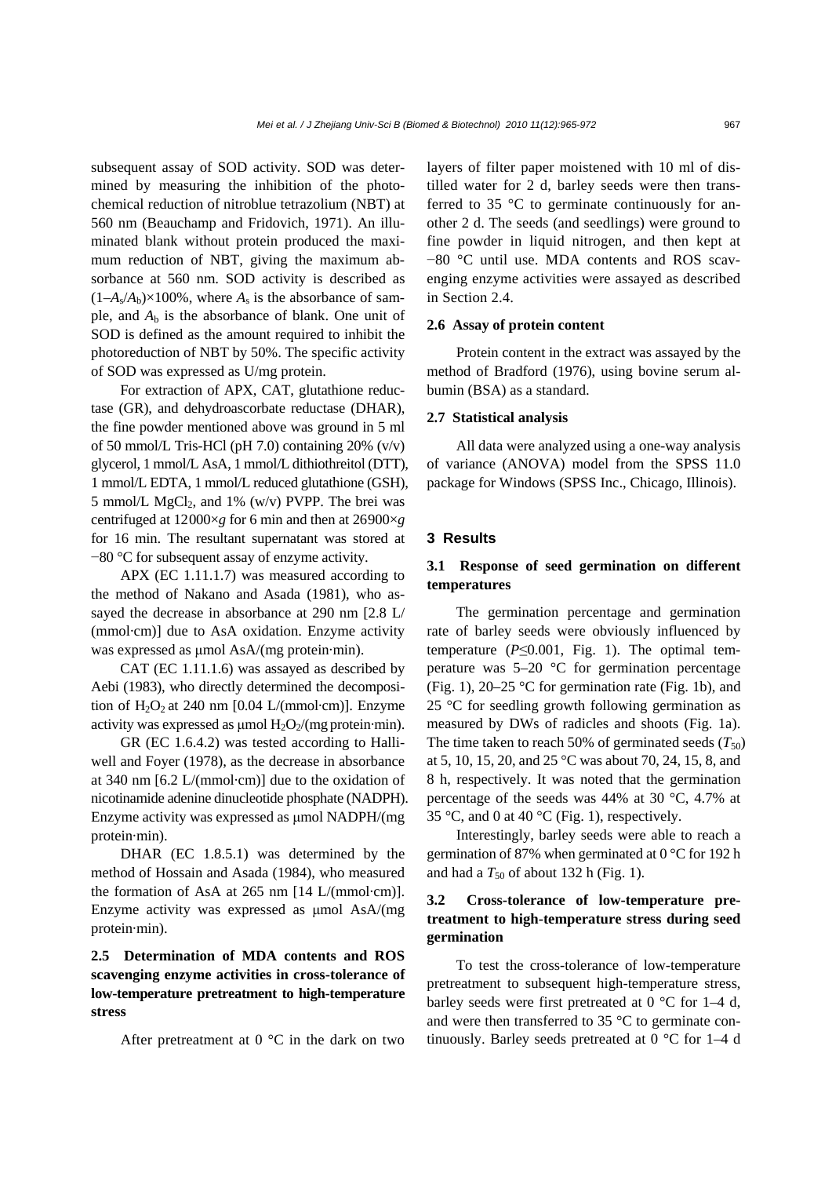subsequent assay of SOD activity. SOD was determined by measuring the inhibition of the photochemical reduction of nitroblue tetrazolium (NBT) at 560 nm (Beauchamp and Fridovich, 1971). An illuminated blank without protein produced the maximum reduction of NBT, giving the maximum absorbance at 560 nm. SOD activity is described as  $(1-A_s/A_b)\times 100\%$ , where  $A_s$  is the absorbance of sample, and  $A<sub>b</sub>$  is the absorbance of blank. One unit of SOD is defined as the amount required to inhibit the photoreduction of NBT by 50%. The specific activity of SOD was expressed as U/mg protein.

For extraction of APX, CAT, glutathione reductase (GR), and dehydroascorbate reductase (DHAR), the fine powder mentioned above was ground in 5 ml of 50 mmol/L Tris-HCl (pH 7.0) containing  $20\%$  (v/v) glycerol, 1 mmol/L AsA, 1 mmol/L dithiothreitol (DTT), 1 mmol/L EDTA, 1 mmol/L reduced glutathione (GSH), 5 mmol/L  $MgCl<sub>2</sub>$ , and 1% (w/v) PVPP. The brei was centrifuged at 12000×*g* for 6 min and then at 26900×*g* for 16 min. The resultant supernatant was stored at −80 °C for subsequent assay of enzyme activity.

APX (EC 1.11.1.7) was measured according to the method of Nakano and Asada (1981), who assayed the decrease in absorbance at 290 nm [2.8 L/ (mmol·cm)] due to AsA oxidation. Enzyme activity was expressed as μmol AsA/(mg protein·min).

CAT (EC 1.11.1.6) was assayed as described by Aebi (1983), who directly determined the decomposition of  $H_2O_2$  at 240 nm [0.04 L/(mmol·cm)]. Enzyme activity was expressed as  $\mu$ mol H<sub>2</sub>O<sub>2</sub>/(mg protein·min).

GR (EC 1.6.4.2) was tested according to Halliwell and Foyer (1978), as the decrease in absorbance at 340 nm [6.2 L/(mmol·cm)] due to the oxidation of nicotinamide adenine dinucleotide phosphate (NADPH). Enzyme activity was expressed as μmol NADPH/(mg protein·min).

DHAR (EC 1.8.5.1) was determined by the method of Hossain and Asada (1984), who measured the formation of AsA at 265 nm [14 L/(mmol·cm)]. Enzyme activity was expressed as μmol AsA/(mg protein·min).

## **2.5 Determination of MDA contents and ROS scavenging enzyme activities in cross-tolerance of low-temperature pretreatment to high-temperature stress**

After pretreatment at  $0^{\circ}$ C in the dark on two

layers of filter paper moistened with 10 ml of distilled water for 2 d, barley seeds were then transferred to 35 °C to germinate continuously for another 2 d. The seeds (and seedlings) were ground to fine powder in liquid nitrogen, and then kept at −80 °C until use. MDA contents and ROS scavenging enzyme activities were assayed as described in Section 2.4.

#### **2.6 Assay of protein content**

Protein content in the extract was assayed by the method of Bradford (1976), using bovine serum albumin (BSA) as a standard.

#### **2.7 Statistical analysis**

All data were analyzed using a one-way analysis of variance (ANOVA) model from the SPSS 11.0 package for Windows (SPSS Inc., Chicago, Illinois).

#### **3 Results**

## **3.1 Response of seed germination on different temperatures**

The germination percentage and germination rate of barley seeds were obviously influenced by temperature  $(P \le 0.001$ , Fig. 1). The optimal temperature was  $5-20$  °C for germination percentage (Fig. 1), 20–25 °C for germination rate (Fig. 1b), and 25 °C for seedling growth following germination as measured by DWs of radicles and shoots (Fig. 1a). The time taken to reach 50% of germinated seeds  $(T_{50})$ at 5, 10, 15, 20, and 25 °C was about 70, 24, 15, 8, and 8 h, respectively. It was noted that the germination percentage of the seeds was 44% at 30 °C, 4.7% at 35 °C, and 0 at 40 °C (Fig. 1), respectively.

Interestingly, barley seeds were able to reach a germination of 87% when germinated at 0 °C for 192 h and had a  $T_{50}$  of about 132 h (Fig. 1).

## **3.2 Cross-tolerance of low-temperature pretreatment to high-temperature stress during seed germination**

To test the cross-tolerance of low-temperature pretreatment to subsequent high-temperature stress, barley seeds were first pretreated at  $0^{\circ}$ C for 1–4 d, and were then transferred to 35 °C to germinate continuously. Barley seeds pretreated at 0 °C for 1–4 d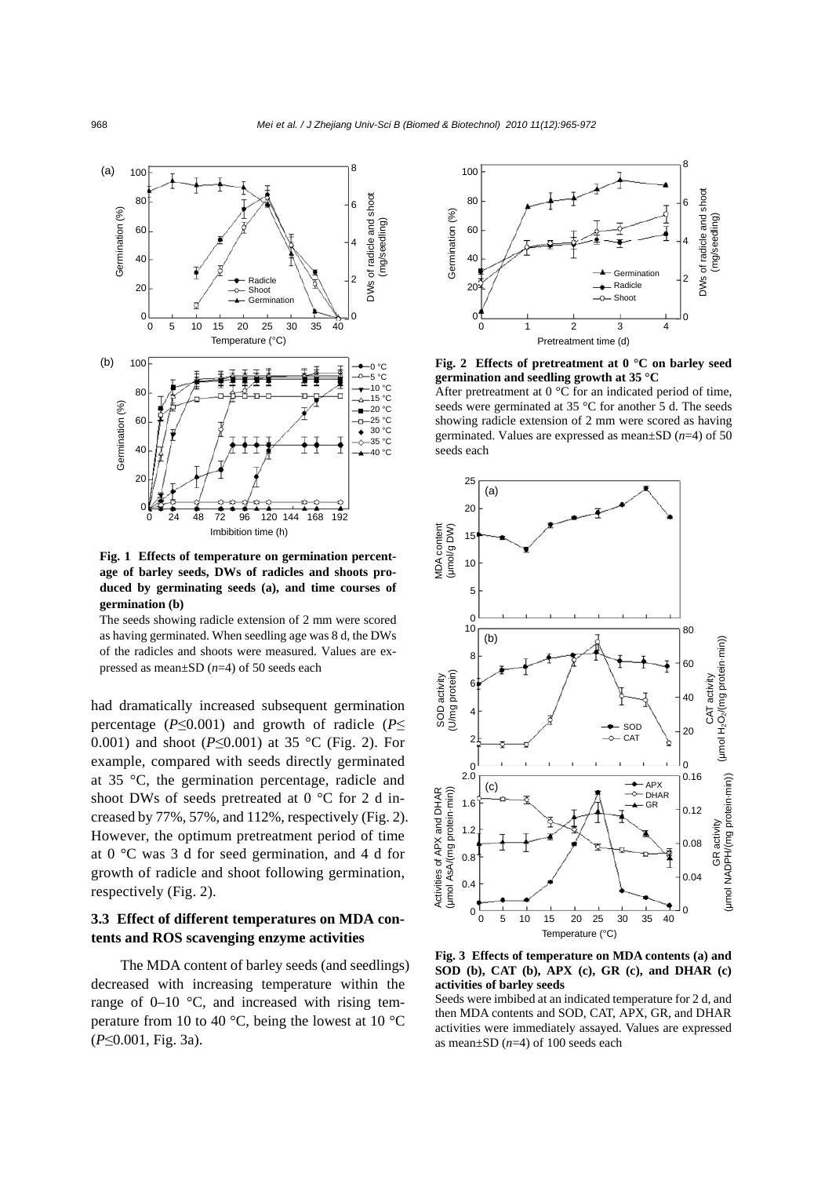

**Fig. 1 Effects of temperature on germination percentage of barley seeds, DWs of radicles and shoots produced by germinating seeds (a), and time courses of germination (b)** 

The seeds showing radicle extension of 2 mm were scored as having germinated. When seedling age was 8 d, the DWs of the radicles and shoots were measured. Values are ex-

had dramatically increased subsequent germination percentage ( $P \leq 0.001$ ) and growth of radicle ( $P \leq$ 0.001) and shoot (*P*≤0.001) at 35 °C (Fig. 2). For example, compared with seeds directly germinated at 35 °C, the germination percentage, radicle and shoot DWs of seeds pretreated at 0 °C for 2 d increased by 77%, 57%, and 112%, respectively (Fig. 2). However, the optimum pretreatment period of time at 0 °C was 3 d for seed germination, and 4 d for growth of radicle and shoot following germination, respectively (Fig. 2).

## **3.3 Effect of different temperatures on MDA contents and ROS scavenging enzyme activities**

The MDA content of barley seeds (and seedlings) decreased with increasing temperature within the range of  $0-10$  °C, and increased with rising temperature from 10 to 40  $^{\circ}$ C, being the lowest at 10  $^{\circ}$ C (*P*≤0.001, Fig. 3a).



**Fig. 2 Effects of pretreatment at 0 °C on barley seed germination and seedling growth at 35 °C** 

After pretreatment at  $0^{\circ}$ C for an indicated period of time, seeds were germinated at 35 °C for another 5 d. The seeds showing radicle extension of 2 mm were scored as having germinated. Values are expressed as mean±SD (*n*=4) of 50 seeds each



**Fig. 3 Effects of temperature on MDA contents (a) and SOD (b), CAT (b), APX (c), GR (c), and DHAR (c) activities of barley seeds** 

Seeds were imbibed at an indicated temperature for 2 d, and then MDA contents and SOD, CAT, APX, GR, and DHAR activities were immediately assayed. Values are expressed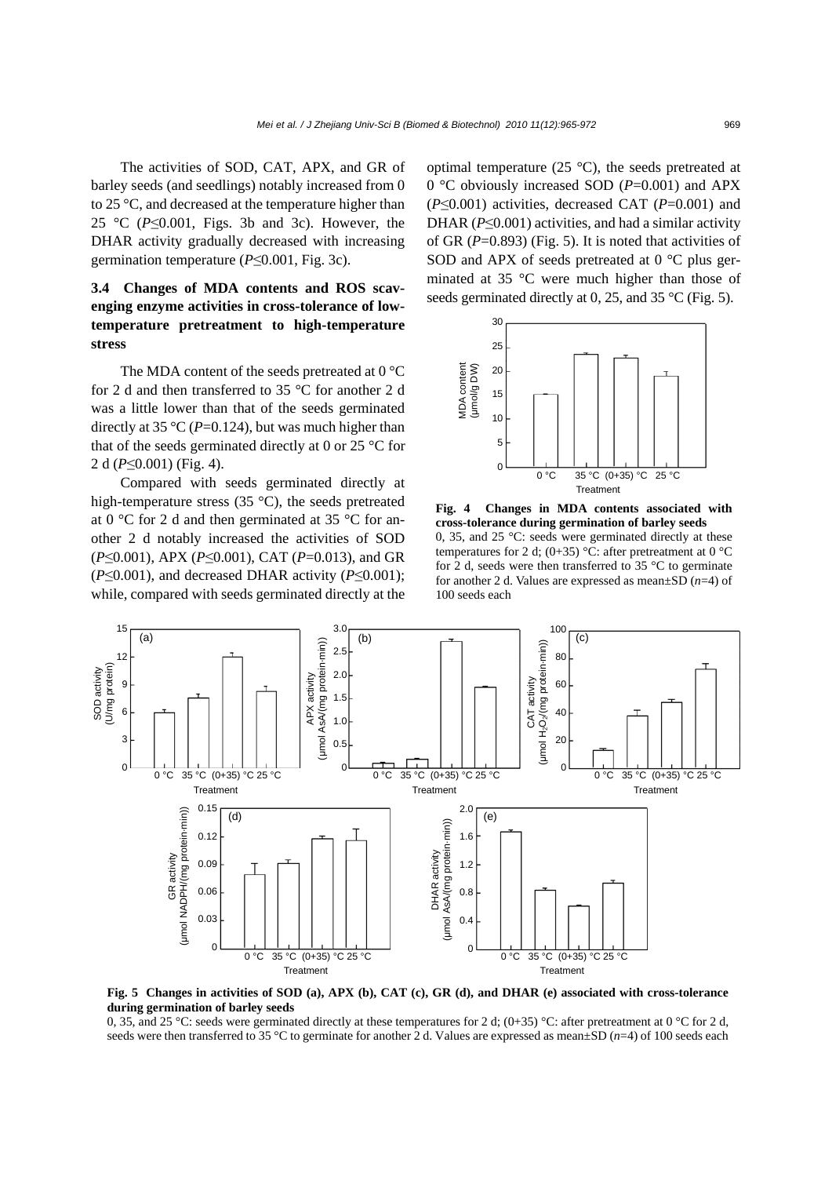The activities of SOD, CAT, APX, and GR of barley seeds (and seedlings) notably increased from 0 to 25 °C, and decreased at the temperature higher than 25 °C (*P*≤0.001, Figs. 3b and 3c). However, the DHAR activity gradually decreased with increasing germination temperature (*P*≤0.001, Fig. 3c).

## **3.4 Changes of MDA contents and ROS scavenging enzyme activities in cross-tolerance of lowtemperature pretreatment to high-temperature stress**

The MDA content of the seeds pretreated at 0 °C for 2 d and then transferred to 35 °C for another 2 d was a little lower than that of the seeds germinated directly at 35  $\mathrm{^{\circ}C}$  (*P*=0.124), but was much higher than that of the seeds germinated directly at 0 or 25  $\degree$ C for 2 d (*P*≤0.001) (Fig. 4).

Compared with seeds germinated directly at high-temperature stress (35 °C), the seeds pretreated at 0 °C for 2 d and then germinated at 35 °C for another 2 d notably increased the activities of SOD (*P*≤0.001), APX (*P*≤0.001), CAT (*P*=0.013), and GR (*P*≤0.001), and decreased DHAR activity (*P*≤0.001); while, compared with seeds germinated directly at the optimal temperature  $(25 \degree C)$ , the seeds pretreated at 0 °C obviously increased SOD (*P*=0.001) and APX (*P*≤0.001) activities, decreased CAT (*P*=0.001) and DHAR (*P*≤0.001) activities, and had a similar activity of GR (*P*=0.893) (Fig. 5). It is noted that activities of SOD and APX of seeds pretreated at 0 °C plus germinated at 35 °C were much higher than those of seeds germinated directly at 0, 25, and 35 °C (Fig. 5).



**Fig. 4 Changes in MDA contents associated with cross-tolerance during germination of barley seeds**  0, 35, and 25 °C: seeds were germinated directly at these temperatures for 2 d; (0+35) °C: after pretreatment at 0 °C for 2 d, seeds were then transferred to 35 °C to germinate for another 2 d. Values are expressed as mean±SD (*n*=4) of 100 seeds each



**Fig. 5 Changes in activities of SOD (a), APX (b), CAT (c), GR (d), and DHAR (e) associated with cross-tolerance during germination of barley seeds** 

0, 35, and 25 °C: seeds were germinated directly at these temperatures for 2 d;  $(0+35)$  °C: after pretreatment at 0 °C for 2 d, seeds were then transferred to 35 °C to germinate for another 2 d. Values are expressed as mean $\pm$ SD (*n*=4) of 100 seeds each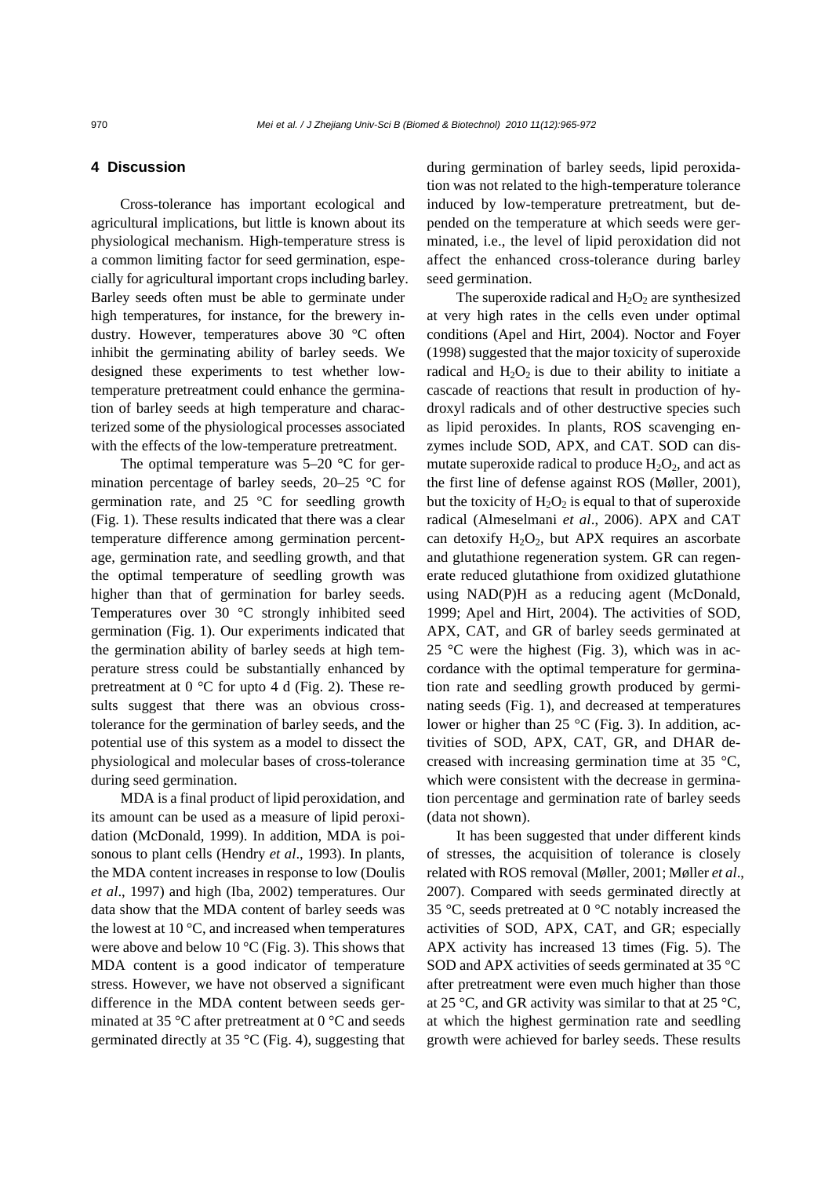### **4 Discussion**

Cross-tolerance has important ecological and agricultural implications, but little is known about its physiological mechanism. High-temperature stress is a common limiting factor for seed germination, especially for agricultural important crops including barley. Barley seeds often must be able to germinate under high temperatures, for instance, for the brewery industry. However, temperatures above 30 °C often inhibit the germinating ability of barley seeds. We designed these experiments to test whether lowtemperature pretreatment could enhance the germination of barley seeds at high temperature and characterized some of the physiological processes associated with the effects of the low-temperature pretreatment.

The optimal temperature was  $5-20$  °C for germination percentage of barley seeds, 20–25 °C for germination rate, and  $25^{\circ}$ C for seedling growth (Fig. 1). These results indicated that there was a clear temperature difference among germination percentage, germination rate, and seedling growth, and that the optimal temperature of seedling growth was higher than that of germination for barley seeds. Temperatures over 30 °C strongly inhibited seed germination (Fig. 1). Our experiments indicated that the germination ability of barley seeds at high temperature stress could be substantially enhanced by pretreatment at  $0^{\circ}$ C for upto 4 d (Fig. 2). These results suggest that there was an obvious crosstolerance for the germination of barley seeds, and the potential use of this system as a model to dissect the physiological and molecular bases of cross-tolerance during seed germination.

MDA is a final product of lipid peroxidation, and its amount can be used as a measure of lipid peroxidation (McDonald, 1999). In addition, MDA is poisonous to plant cells (Hendry *et al*., 1993). In plants, the MDA content increases in response to low (Doulis *et al*., 1997) and high (Iba, 2002) temperatures. Our data show that the MDA content of barley seeds was the lowest at  $10^{\circ}$ C, and increased when temperatures were above and below 10  $\rm{°C}$  (Fig. 3). This shows that MDA content is a good indicator of temperature stress. However, we have not observed a significant difference in the MDA content between seeds germinated at 35 °C after pretreatment at 0 °C and seeds germinated directly at 35  $\degree$ C (Fig. 4), suggesting that during germination of barley seeds, lipid peroxidation was not related to the high-temperature tolerance induced by low-temperature pretreatment, but depended on the temperature at which seeds were germinated, i.e., the level of lipid peroxidation did not affect the enhanced cross-tolerance during barley seed germination.

The superoxide radical and  $H_2O_2$  are synthesized at very high rates in the cells even under optimal conditions (Apel and Hirt, 2004). Noctor and Foyer (1998) suggested that the major toxicity of superoxide radical and  $H_2O_2$  is due to their ability to initiate a cascade of reactions that result in production of hydroxyl radicals and of other destructive species such as lipid peroxides. In plants, ROS scavenging enzymes include SOD, APX, and CAT. SOD can dismutate superoxide radical to produce  $H_2O_2$ , and act as the first line of defense against ROS (Møller, 2001), but the toxicity of  $H_2O_2$  is equal to that of superoxide radical (Almeselmani *et al*., 2006). APX and CAT can detoxify  $H_2O_2$ , but APX requires an ascorbate and glutathione regeneration system. GR can regenerate reduced glutathione from oxidized glutathione using NAD(P)H as a reducing agent (McDonald, 1999; Apel and Hirt, 2004). The activities of SOD, APX, CAT, and GR of barley seeds germinated at 25 °C were the highest (Fig. 3), which was in accordance with the optimal temperature for germination rate and seedling growth produced by germinating seeds (Fig. 1), and decreased at temperatures lower or higher than 25  $\rm{°C}$  (Fig. 3). In addition, activities of SOD, APX, CAT, GR, and DHAR decreased with increasing germination time at 35 °C, which were consistent with the decrease in germination percentage and germination rate of barley seeds (data not shown).

It has been suggested that under different kinds of stresses, the acquisition of tolerance is closely related with ROS removal (Møller, 2001; Møller *et al*., 2007). Compared with seeds germinated directly at 35 °C, seeds pretreated at 0 °C notably increased the activities of SOD, APX, CAT, and GR; especially APX activity has increased 13 times (Fig. 5). The SOD and APX activities of seeds germinated at 35 °C after pretreatment were even much higher than those at 25 °C, and GR activity was similar to that at 25 °C, at which the highest germination rate and seedling growth were achieved for barley seeds. These results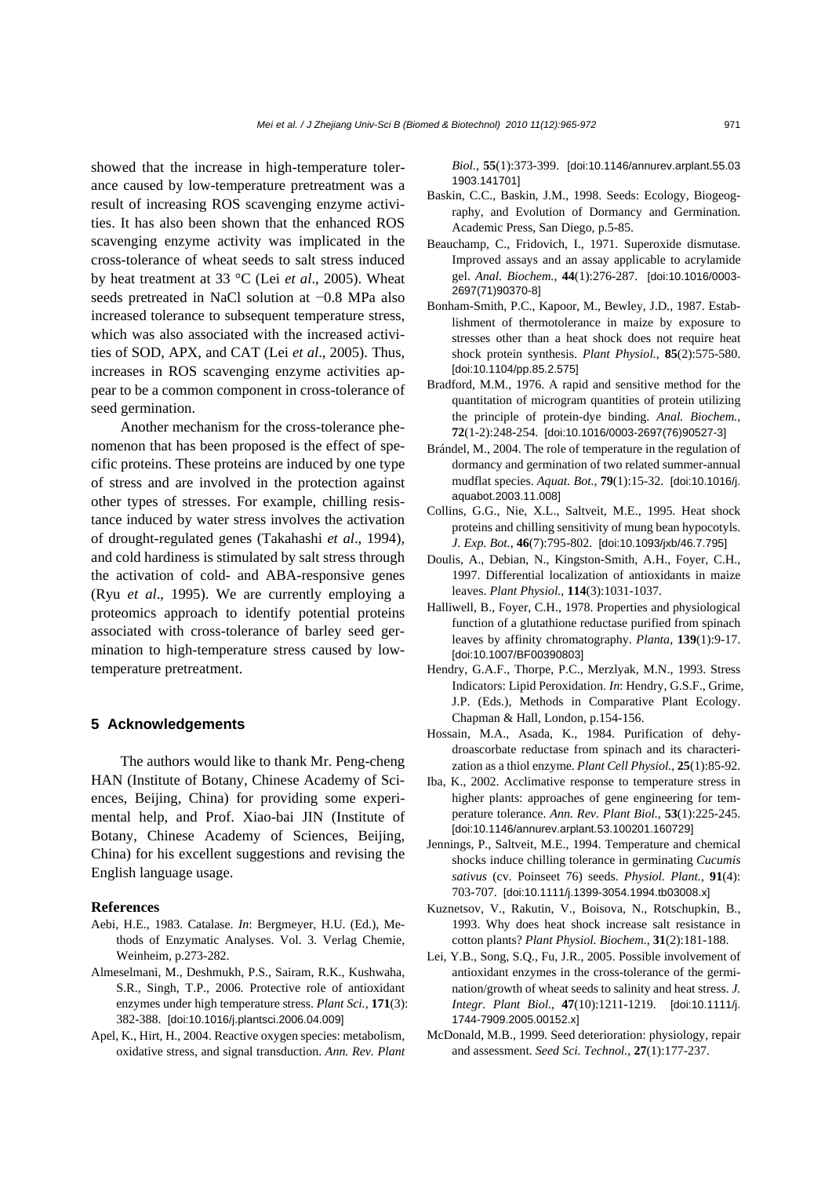showed that the increase in high-temperature tolerance caused by low-temperature pretreatment was a result of increasing ROS scavenging enzyme activities. It has also been shown that the enhanced ROS scavenging enzyme activity was implicated in the cross-tolerance of wheat seeds to salt stress induced by heat treatment at 33 °C (Lei *et al*., 2005). Wheat seeds pretreated in NaCl solution at −0.8 MPa also increased tolerance to subsequent temperature stress, which was also associated with the increased activities of SOD, APX, and CAT (Lei *et al*., 2005). Thus, increases in ROS scavenging enzyme activities appear to be a common component in cross-tolerance of seed germination.

Another mechanism for the cross-tolerance phenomenon that has been proposed is the effect of specific proteins. These proteins are induced by one type of stress and are involved in the protection against other types of stresses. For example, chilling resistance induced by water stress involves the activation of drought-regulated genes (Takahashi *et al*., 1994), and cold hardiness is stimulated by salt stress through the activation of cold- and ABA-responsive genes (Ryu *et al*., 1995). We are currently employing a proteomics approach to identify potential proteins associated with cross-tolerance of barley seed germination to high-temperature stress caused by lowtemperature pretreatment.

#### **5 Acknowledgements**

The authors would like to thank Mr. Peng-cheng HAN (Institute of Botany, Chinese Academy of Sciences, Beijing, China) for providing some experimental help, and Prof. Xiao-bai JIN (Institute of Botany, Chinese Academy of Sciences, Beijing, China) for his excellent suggestions and revising the English language usage.

#### **References**

- Aebi, H.E., 1983. Catalase. *In*: Bergmeyer, H.U. (Ed.), Methods of Enzymatic Analyses. Vol. 3. Verlag Chemie, Weinheim, p.273-282.
- Almeselmani, M., Deshmukh, P.S., Sairam, R.K., Kushwaha, S.R., Singh, T.P., 2006. Protective role of antioxidant enzymes under high temperature stress. *Plant Sci.*, **171**(3): 382-388. [doi:10.1016/j.plantsci.2006.04.009]
- Apel, K., Hirt, H., 2004. Reactive oxygen species: metabolism, oxidative stress, and signal transduction. *Ann. Rev. Plant*

*Biol.*, **55**(1):373-399. [doi:10.1146/annurev.arplant.55.03 1903.141701]

- Baskin, C.C., Baskin, J.M., 1998. Seeds: Ecology, Biogeography, and Evolution of Dormancy and Germination. Academic Press, San Diego, p.5-85.
- Beauchamp, C., Fridovich, I., 1971. Superoxide dismutase. Improved assays and an assay applicable to acrylamide gel. *Anal. Biochem.*, **44**(1):276-287. [doi:10.1016/0003- 2697(71)90370-8]
- Bonham-Smith, P.C., Kapoor, M., Bewley, J.D., 1987. Establishment of thermotolerance in maize by exposure to stresses other than a heat shock does not require heat shock protein synthesis. *Plant Physiol.*, **85**(2):575-580. [doi:10.1104/pp.85.2.575]
- Bradford, M.M., 1976. A rapid and sensitive method for the quantitation of microgram quantities of protein utilizing the principle of protein-dye binding. *Anal. Biochem.*, **72**(1-2):248-254. [doi:10.1016/0003-2697(76)90527-3]
- Brándel, M., 2004. The role of temperature in the regulation of dormancy and germination of two related summer-annual mudflat species. *Aquat. Bot.*, **79**(1):15-32. [doi:10.1016/j. aquabot.2003.11.008]
- Collins, G.G., Nie, X.L., Saltveit, M.E., 1995. Heat shock proteins and chilling sensitivity of mung bean hypocotyls. *J. Exp. Bot.*, **46**(7):795-802. [doi:10.1093/jxb/46.7.795]
- Doulis, A., Debian, N., Kingston-Smith, A.H., Foyer, C.H., 1997. Differential localization of antioxidants in maize leaves. *Plant Physiol.*, **114**(3):1031-1037.
- Halliwell, B., Foyer, C.H., 1978. Properties and physiological function of a glutathione reductase purified from spinach leaves by affinity chromatography. *Planta*, **139**(1):9-17. [doi:10.1007/BF00390803]
- Hendry, G.A.F., Thorpe, P.C., Merzlyak, M.N., 1993. Stress Indicators: Lipid Peroxidation. *In*: Hendry, G.S.F., Grime, J.P. (Eds.), Methods in Comparative Plant Ecology. Chapman & Hall, London, p.154-156.
- Hossain, M.A., Asada, K., 1984. Purification of dehydroascorbate reductase from spinach and its characterization as a thiol enzyme. *Plant Cell Physiol.*, **25**(1):85-92.
- Iba, K., 2002. Acclimative response to temperature stress in higher plants: approaches of gene engineering for temperature tolerance. *Ann. Rev. Plant Biol.*, **53**(1):225-245. [doi:10.1146/annurev.arplant.53.100201.160729]
- Jennings, P., Saltveit, M.E., 1994. Temperature and chemical shocks induce chilling tolerance in germinating *Cucumis sativus* (cv. Poinseet 76) seeds. *Physiol. Plant.*, **91**(4): 703-707. [doi:10.1111/j.1399-3054.1994.tb03008.x]
- Kuznetsov, V., Rakutin, V., Boisova, N., Rotschupkin, B., 1993. Why does heat shock increase salt resistance in cotton plants? *Plant Physiol. Biochem.*, **31**(2):181-188.
- Lei, Y.B., Song, S.Q., Fu, J.R., 2005. Possible involvement of antioxidant enzymes in the cross-tolerance of the germination/growth of wheat seeds to salinity and heat stress. *J. Integr. Plant Biol.*, **47**(10):1211-1219. [doi:10.1111/j. 1744-7909.2005.00152.x]
- McDonald, M.B., 1999. Seed deterioration: physiology, repair and assessment. *Seed Sci. Technol.*, **27**(1):177-237.